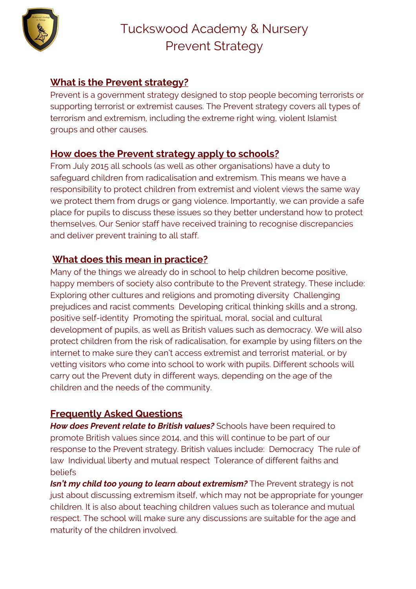

# **What is the Prevent strategy?**

Prevent is a government strategy designed to stop people becoming terrorists or supporting terrorist or extremist causes. The Prevent strategy covers all types of terrorism and extremism, including the extreme right wing, violent Islamist groups and other causes.

# **How does the Prevent strategy apply to schools?**

From July 2015 all schools (as well as other organisations) have a duty to safeguard children from radicalisation and extremism. This means we have a responsibility to protect children from extremist and violent views the same way we protect them from drugs or gang violence. Importantly, we can provide a safe place for pupils to discuss these issues so they better understand how to protect themselves. Our Senior staff have received training to recognise discrepancies and deliver prevent training to all staff.

# **What does this mean in practice?**

Many of the things we already do in school to help children become positive, happy members of society also contribute to the Prevent strategy. These include: Exploring other cultures and religions and promoting diversity Challenging prejudices and racist comments Developing critical thinking skills and a strong, positive self-identity Promoting the spiritual, moral, social and cultural development of pupils, as well as British values such as democracy. We will also protect children from the risk of radicalisation, for example by using filters on the internet to make sure they can't access extremist and terrorist material, or by vetting visitors who come into school to work with pupils. Different schools will carry out the Prevent duty in different ways, depending on the age of the children and the needs of the community.

# **Frequently Asked Questions**

*How does Prevent relate to British values?* Schools have been required to promote British values since 2014, and this will continue to be part of our response to the Prevent strategy. British values include: Democracy The rule of law Individual liberty and mutual respect Tolerance of different faiths and beliefs

*Isn't my child too young to learn about extremism?* The Prevent strategy is not just about discussing extremism itself, which may not be appropriate for younger children. It is also about teaching children values such as tolerance and mutual respect. The school will make sure any discussions are suitable for the age and maturity of the children involved.